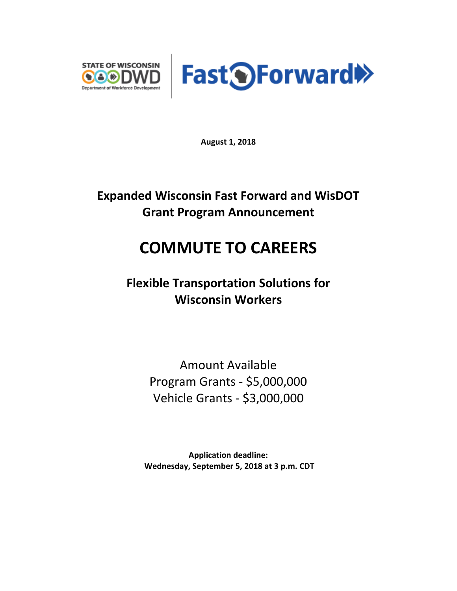



**August 1, 2018**

# **Expanded Wisconsin Fast Forward and WisDOT Grant Program Announcement**

# **COMMUTE TO CAREERS**

**Flexible Transportation Solutions for Wisconsin Workers**

> Amount Available Program Grants - \$5,000,000 Vehicle Grants - \$3,000,000

**Application deadline: Wednesday, September 5, 2018 at 3 p.m. CDT**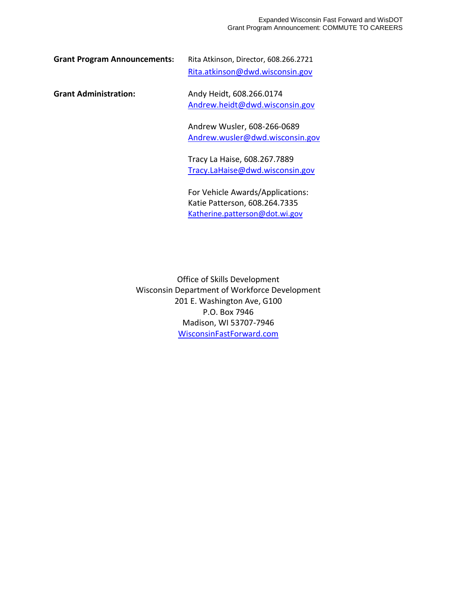| <b>Grant Program Announcements:</b> | Rita Atkinson, Director, 608.266.2721 |
|-------------------------------------|---------------------------------------|
|                                     | Rita.atkinson@dwd.wisconsin.gov       |
| <b>Grant Administration:</b>        | Andy Heidt, 608.266.0174              |
|                                     | Andrew.heidt@dwd.wisconsin.gov        |
|                                     | Andrew Wusler, 608-266-0689           |
|                                     | Andrew.wusler@dwd.wisconsin.gov       |
|                                     | Tracy La Haise, 608.267.7889          |
|                                     | Tracy.LaHaise@dwd.wisconsin.gov       |
|                                     | For Vehicle Awards/Applications:      |
|                                     | Katie Patterson, 608.264.7335         |
|                                     | Katherine.patterson@dot.wi.gov        |

Office of Skills Development Wisconsin Department of Workforce Development 201 E. Washington Ave, G100 P.O. Box 7946 Madison, WI 53707-7946 [WisconsinFastForward.com](http://www.wisconsinfastforward.com/wff_standard.htm)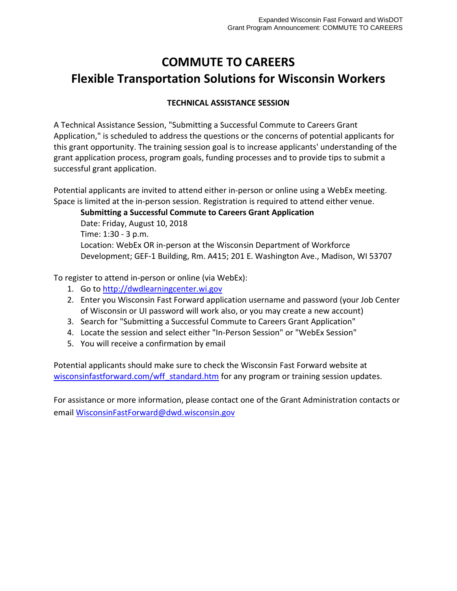# **COMMUTE TO CAREERS Flexible Transportation Solutions for Wisconsin Workers**

# **TECHNICAL ASSISTANCE SESSION**

A Technical Assistance Session, "Submitting a Successful Commute to Careers Grant Application," is scheduled to address the questions or the concerns of potential applicants for this grant opportunity. The training session goal is to increase applicants' understanding of the grant application process, program goals, funding processes and to provide tips to submit a successful grant application.

Potential applicants are invited to attend either in-person or online using a WebEx meeting. Space is limited at the in-person session. Registration is required to attend either venue.

**Submitting a Successful Commute to Careers Grant Application**  Date: Friday, August 10, 2018 Time: 1:30 - 3 p.m. Location: WebEx OR in-person at the Wisconsin Department of Workforce Development; GEF-1 Building, Rm. A415; 201 E. Washington Ave., Madison, WI 53707

To register to attend in-person or online (via WebEx):

- 1. Go t[o http://dwdlearningcenter.wi.gov](http://dwdlearningcenter.wi.gov/)
- 2. Enter you Wisconsin Fast Forward application username and password (your Job Center of Wisconsin or UI password will work also, or you may create a new account)
- 3. Search for "Submitting a Successful Commute to Careers Grant Application"
- 4. Locate the session and select either "In-Person Session" or "WebEx Session"
- 5. You will receive a confirmation by email

Potential applicants should make sure to check the Wisconsin Fast Forward website at [wisconsinfastforward.com/wff\\_standard.htm](http://www.wisconsinfastforward.com/wff_standard.htm) for any program or training session updates.

For assistance or more information, please contact one of the Grant Administration contacts or email [WisconsinFastForward@dwd.wisconsin.gov](mailto:WisconsinFastForward@dwd.wisconsin.gov)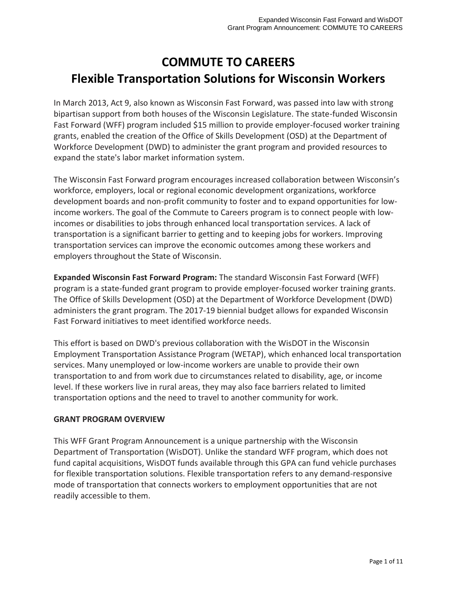# **COMMUTE TO CAREERS Flexible Transportation Solutions for Wisconsin Workers**

In March 2013, Act 9, also known as Wisconsin Fast Forward, was passed into law with strong bipartisan support from both houses of the Wisconsin Legislature. The state-funded Wisconsin Fast Forward (WFF) program included \$15 million to provide employer-focused worker training grants, enabled the creation of the Office of Skills Development (OSD) at the Department of Workforce Development (DWD) to administer the grant program and provided resources to expand the state's labor market information system.

The Wisconsin Fast Forward program encourages increased collaboration between Wisconsin's workforce, employers, local or regional economic development organizations, workforce development boards and non-profit community to foster and to expand opportunities for lowincome workers. The goal of the Commute to Careers program is to connect people with lowincomes or disabilities to jobs through enhanced local transportation services. A lack of transportation is a significant barrier to getting and to keeping jobs for workers. Improving transportation services can improve the economic outcomes among these workers and employers throughout the State of Wisconsin.

**Expanded Wisconsin Fast Forward Program:** The standard Wisconsin Fast Forward (WFF) program is a state-funded grant program to provide employer-focused worker training grants. The Office of Skills Development (OSD) at the Department of Workforce Development (DWD) administers the grant program. The 2017-19 biennial budget allows for expanded Wisconsin Fast Forward initiatives to meet identified workforce needs.

This effort is based on DWD's previous collaboration with the WisDOT in the Wisconsin Employment Transportation Assistance Program (WETAP), which enhanced local transportation services. Many unemployed or low-income workers are unable to provide their own transportation to and from work due to circumstances related to disability, age, or income level. If these workers live in rural areas, they may also face barriers related to limited transportation options and the need to travel to another community for work.

# **GRANT PROGRAM OVERVIEW**

This WFF Grant Program Announcement is a unique partnership with the Wisconsin Department of Transportation (WisDOT). Unlike the standard WFF program, which does not fund capital acquisitions, WisDOT funds available through this GPA can fund vehicle purchases for flexible transportation solutions. Flexible transportation refers to any demand-responsive mode of transportation that connects workers to employment opportunities that are not readily accessible to them.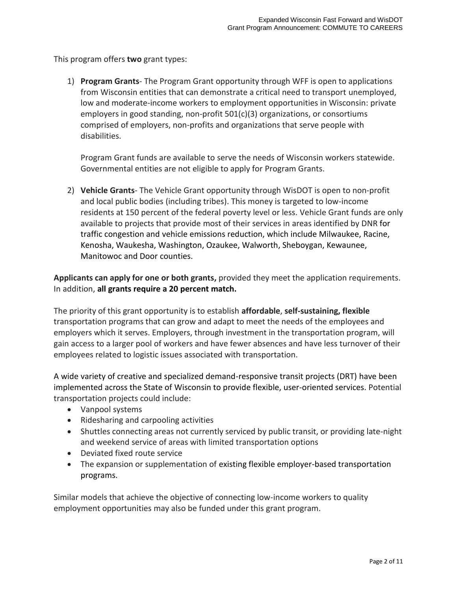This program offers **two** grant types:

1) **Program Grants**- The Program Grant opportunity through WFF is open to applications from Wisconsin entities that can demonstrate a critical need to transport unemployed, low and moderate-income workers to employment opportunities in Wisconsin: private employers in good standing, non-profit 501(c)(3) organizations, or consortiums comprised of employers, non-profits and organizations that serve people with disabilities.

Program Grant funds are available to serve the needs of Wisconsin workers statewide. Governmental entities are not eligible to apply for Program Grants.

2) **Vehicle Grants**- The Vehicle Grant opportunity through WisDOT is open to non-profit and local public bodies (including tribes). This money is targeted to low-income residents at 150 percent of the federal poverty level or less. Vehicle Grant funds are only available to projects that provide most of their services in areas identified by DNR for traffic congestion and vehicle emissions reduction, which include Milwaukee, Racine, Kenosha, Waukesha, Washington, Ozaukee, Walworth, Sheboygan, Kewaunee, Manitowoc and Door counties.

**Applicants can apply for one or both grants,** provided they meet the application requirements. In addition, **all grants require a 20 percent match.**

The priority of this grant opportunity is to establish **affordable**, **self-sustaining, flexible**  transportation programs that can grow and adapt to meet the needs of the employees and employers which it serves. Employers, through investment in the transportation program, will gain access to a larger pool of workers and have fewer absences and have less turnover of their employees related to logistic issues associated with transportation.

A wide variety of creative and specialized demand-responsive transit projects (DRT) have been implemented across the State of Wisconsin to provide flexible, user-oriented services. Potential transportation projects could include:

- Vanpool systems
- Ridesharing and carpooling activities
- Shuttles connecting areas not currently serviced by public transit, or providing late-night and weekend service of areas with limited transportation options
- Deviated fixed route service
- The expansion or supplementation of existing flexible employer-based transportation programs.

Similar models that achieve the objective of connecting low-income workers to quality employment opportunities may also be funded under this grant program.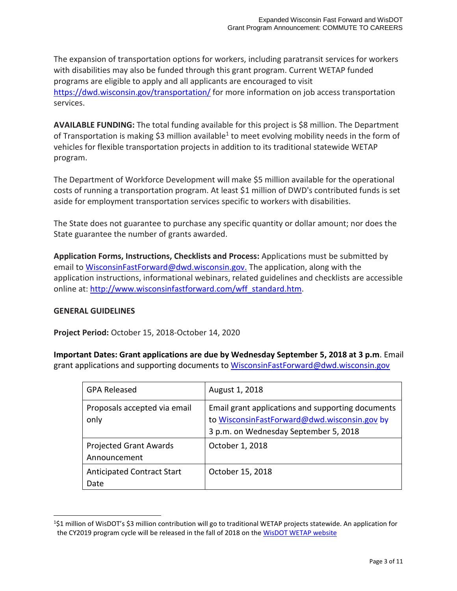The expansion of transportation options for workers, including paratransit services for workers with disabilities may also be funded through this grant program. Current WETAP funded programs are eligible to apply and all applicants are encouraged to visit <https://dwd.wisconsin.gov/transportation/> for more information on job access transportation services.

**AVAILABLE FUNDING:** The total funding available for this project is \$8 million. The Department of Transportation is making \$3 million available<sup>1</sup> to meet evolving mobility needs in the form of vehicles for flexible transportation projects in addition to its traditional statewide WETAP program.

The Department of Workforce Development will make \$5 million available for the operational costs of running a transportation program. At least \$1 million of DWD's contributed funds is set aside for employment transportation services specific to workers with disabilities.

The State does not guarantee to purchase any specific quantity or dollar amount; nor does the State guarantee the number of grants awarded.

**Application Forms, Instructions, Checklists and Process:** Applications must be submitted by email to [WisconsinFastForward@dwd.wisconsin.gov.](mailto:WisconsinFastForward@dwd.wisconsin.gov) The application, along with the application instructions, informational webinars, related guidelines and checklists are accessible online at: [http://www.wisconsinfastforward.com/wff\\_standard.htm.](http://www.wisconsinfastforward.com/wff_standard.htm)

# **GENERAL GUIDELINES**

**Project Period:** October 15, 2018-October 14, 2020

**Important Dates: Grant applications are due by Wednesday September 5, 2018 at 3 p.m**. Email grant applications and supporting documents to WisconsinFastForward@dwd.wisconsin.gov

| <b>GPA Released</b>                           | August 1, 2018                                                                                                                             |
|-----------------------------------------------|--------------------------------------------------------------------------------------------------------------------------------------------|
| Proposals accepted via email<br>only          | Email grant applications and supporting documents<br>to WisconsinFastForward@dwd.wisconsin.gov by<br>3 p.m. on Wednesday September 5, 2018 |
| <b>Projected Grant Awards</b><br>Announcement | October 1, 2018                                                                                                                            |
| <b>Anticipated Contract Start</b><br>Date     | October 15, 2018                                                                                                                           |

<sup>&</sup>lt;sup>1</sup>\$1 million of WisDOT's \$3 million contribution will go to traditional WETAP projects statewide. An application for the CY2019 program cycle will be released in the fall of 2018 on th[e WisDOT WETAP website](https://wisconsindot.gov/Pages/doing-bus/local-gov/astnce-pgms/transit/wetap.aspx)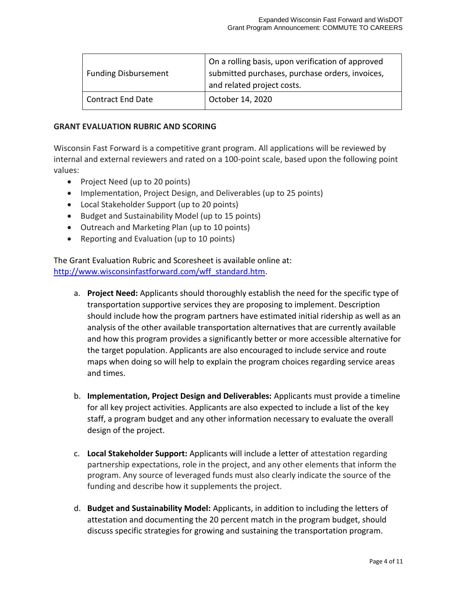| <b>Funding Disbursement</b> | On a rolling basis, upon verification of approved<br>submitted purchases, purchase orders, invoices,<br>and related project costs. |
|-----------------------------|------------------------------------------------------------------------------------------------------------------------------------|
| <b>Contract End Date</b>    | October 14, 2020                                                                                                                   |

#### **GRANT EVALUATION RUBRIC AND SCORING**

Wisconsin Fast Forward is a competitive grant program. All applications will be reviewed by internal and external reviewers and rated on a 100-point scale, based upon the following point values:

- Project Need (up to 20 points)
- Implementation, Project Design, and Deliverables (up to 25 points)
- Local Stakeholder Support (up to 20 points)
- Budget and Sustainability Model (up to 15 points)
- Outreach and Marketing Plan (up to 10 points)
- Reporting and Evaluation (up to 10 points)

The Grant Evaluation Rubric and Scoresheet is available online at: [http://www.wisconsinfastforward.com/wff\\_standard.htm.](http://www.wisconsinfastforward.com/wff_standard.htm)

- a. **Project Need:** Applicants should thoroughly establish the need for the specific type of transportation supportive services they are proposing to implement. Description should include how the program partners have estimated initial ridership as well as an analysis of the other available transportation alternatives that are currently available and how this program provides a significantly better or more accessible alternative for the target population. Applicants are also encouraged to include service and route maps when doing so will help to explain the program choices regarding service areas and times.
- b. **Implementation, Project Design and Deliverables:** Applicants must provide a timeline for all key project activities. Applicants are also expected to include a list of the key staff, a program budget and any other information necessary to evaluate the overall design of the project.
- c. **Local Stakeholder Support:** Applicants will include a letter of attestation regarding partnership expectations, role in the project, and any other elements that inform the program. Any source of leveraged funds must also clearly indicate the source of the funding and describe how it supplements the project.
- d. **Budget and Sustainability Model:** Applicants, in addition to including the letters of attestation and documenting the 20 percent match in the program budget, should discuss specific strategies for growing and sustaining the transportation program.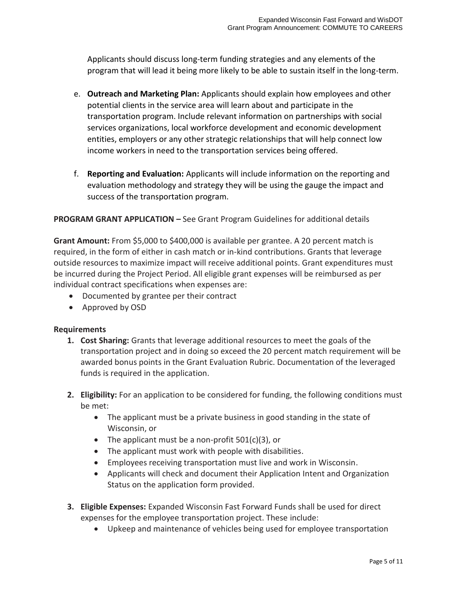Applicants should discuss long-term funding strategies and any elements of the program that will lead it being more likely to be able to sustain itself in the long-term.

- e. **Outreach and Marketing Plan:** Applicants should explain how employees and other potential clients in the service area will learn about and participate in the transportation program. Include relevant information on partnerships with social services organizations, local workforce development and economic development entities, employers or any other strategic relationships that will help connect low income workers in need to the transportation services being offered.
- f. **Reporting and Evaluation:** Applicants will include information on the reporting and evaluation methodology and strategy they will be using the gauge the impact and success of the transportation program.

### **PROGRAM GRANT APPLICATION –** See Grant Program Guidelines for additional details

**Grant Amount:** From \$5,000 to \$400,000 is available per grantee. A 20 percent match is required, in the form of either in cash match or in-kind contributions. Grants that leverage outside resources to maximize impact will receive additional points. Grant expenditures must be incurred during the Project Period. All eligible grant expenses will be reimbursed as per individual contract specifications when expenses are:

- Documented by grantee per their contract
- Approved by OSD

#### **Requirements**

- **1. Cost Sharing:** Grants that leverage additional resources to meet the goals of the transportation project and in doing so exceed the 20 percent match requirement will be awarded bonus points in the Grant Evaluation Rubric. Documentation of the leveraged funds is required in the application.
- **2. Eligibility:** For an application to be considered for funding, the following conditions must be met:
	- The applicant must be a private business in good standing in the state of Wisconsin, or
	- The applicant must be a non-profit  $501(c)(3)$ , or
	- The applicant must work with people with disabilities.
	- Employees receiving transportation must live and work in Wisconsin.
	- Applicants will check and document their Application Intent and Organization Status on the application form provided.
- **3. Eligible Expenses:** Expanded Wisconsin Fast Forward Funds shall be used for direct expenses for the employee transportation project. These include:
	- Upkeep and maintenance of vehicles being used for employee transportation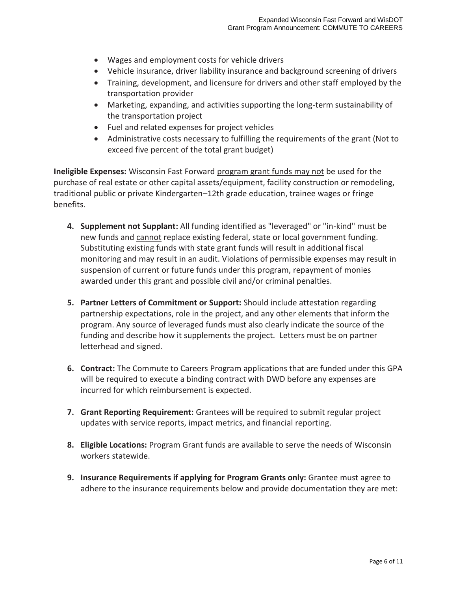- Wages and employment costs for vehicle drivers
- Vehicle insurance, driver liability insurance and background screening of drivers
- Training, development, and licensure for drivers and other staff employed by the transportation provider
- Marketing, expanding, and activities supporting the long-term sustainability of the transportation project
- Fuel and related expenses for project vehicles
- Administrative costs necessary to fulfilling the requirements of the grant (Not to exceed five percent of the total grant budget)

**Ineligible Expenses:** Wisconsin Fast Forward program grant funds may not be used for the purchase of real estate or other capital assets/equipment, facility construction or remodeling, traditional public or private Kindergarten–12th grade education, trainee wages or fringe benefits.

- **4. Supplement not Supplant:** All funding identified as "leveraged" or "in-kind" must be new funds and cannot replace existing federal, state or local government funding. Substituting existing funds with state grant funds will result in additional fiscal monitoring and may result in an audit. Violations of permissible expenses may result in suspension of current or future funds under this program, repayment of monies awarded under this grant and possible civil and/or criminal penalties.
- **5. Partner Letters of Commitment or Support:** Should include attestation regarding partnership expectations, role in the project, and any other elements that inform the program. Any source of leveraged funds must also clearly indicate the source of the funding and describe how it supplements the project. Letters must be on partner letterhead and signed.
- **6. Contract:** The Commute to Careers Program applications that are funded under this GPA will be required to execute a binding contract with DWD before any expenses are incurred for which reimbursement is expected.
- **7. Grant Reporting Requirement:** Grantees will be required to submit regular project updates with service reports, impact metrics, and financial reporting.
- **8. Eligible Locations:** Program Grant funds are available to serve the needs of Wisconsin workers statewide.
- **9. Insurance Requirements if applying for Program Grants only:** Grantee must agree to adhere to the insurance requirements below and provide documentation they are met: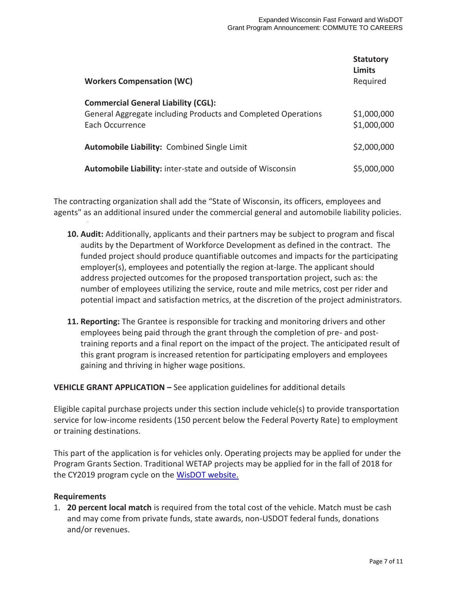| <b>Workers Compensation (WC)</b>                                                                                                      | <b>Statutory</b><br><b>Limits</b><br>Required |
|---------------------------------------------------------------------------------------------------------------------------------------|-----------------------------------------------|
| <b>Commercial General Liability (CGL):</b><br>General Aggregate including Products and Completed Operations<br><b>Fach Occurrence</b> | \$1,000,000<br>\$1,000,000                    |
| <b>Automobile Liability: Combined Single Limit</b>                                                                                    | \$2,000,000                                   |
| Automobile Liability: inter-state and outside of Wisconsin                                                                            | \$5,000,000                                   |

The contracting organization shall add the "State of Wisconsin, its officers, employees and agents" as an additional insured under the commercial general and automobile liability policies.

- **10. Audit:** Additionally, applicants and their partners may be subject to program and fiscal audits by the Department of Workforce Development as defined in the contract. The funded project should produce quantifiable outcomes and impacts for the participating employer(s), employees and potentially the region at-large. The applicant should address projected outcomes for the proposed transportation project, such as: the number of employees utilizing the service, route and mile metrics, cost per rider and potential impact and satisfaction metrics, at the discretion of the project administrators.
- **11. Reporting:** The Grantee is responsible for tracking and monitoring drivers and other employees being paid through the grant through the completion of pre- and posttraining reports and a final report on the impact of the project. The anticipated result of this grant program is increased retention for participating employers and employees gaining and thriving in higher wage positions.

**VEHICLE GRANT APPLICATION –** See application guidelines for additional details

Eligible capital purchase projects under this section include vehicle(s) to provide transportation service for low-income residents (150 percent below the Federal Poverty Rate) to employment or training destinations.

This part of the application is for vehicles only. Operating projects may be applied for under the Program Grants Section. Traditional WETAP projects may be applied for in the fall of 2018 for the CY2019 program cycle on the [WisDOT website.](https://wisconsindot.gov/Pages/doing-bus/local-gov/astnce-pgms/transit/wetap.aspx)

#### **Requirements**

1. **20 percent local match** is required from the total cost of the vehicle. Match must be cash and may come from private funds, state awards, non-USDOT federal funds, donations and/or revenues.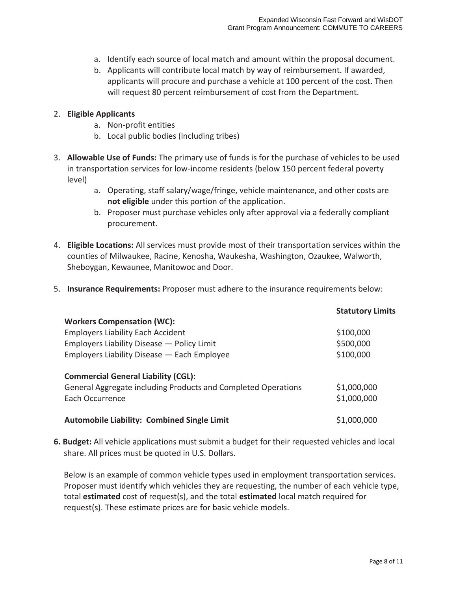- a. Identify each source of local match and amount within the proposal document.
- b. Applicants will contribute local match by way of reimbursement. If awarded, applicants will procure and purchase a vehicle at 100 percent of the cost. Then will request 80 percent reimbursement of cost from the Department.

#### 2. **Eligible Applicants**

- a. Non-profit entities
- b. Local public bodies (including tribes)
- 3. **Allowable Use of Funds:** The primary use of funds is for the purchase of vehicles to be used in transportation services for low-income residents (below 150 percent federal poverty level)
	- a. Operating, staff salary/wage/fringe, vehicle maintenance, and other costs are **not eligible** under this portion of the application.
	- b. Proposer must purchase vehicles only after approval via a federally compliant procurement.
- 4. **Eligible Locations:** All services must provide most of their transportation services within the counties of Milwaukee, Racine, Kenosha, Waukesha, Washington, Ozaukee, Walworth, Sheboygan, Kewaunee, Manitowoc and Door.
- 5. **Insurance Requirements:** Proposer must adhere to the insurance requirements below:

|                                                               | <b>Statutory Limits</b> |
|---------------------------------------------------------------|-------------------------|
| <b>Workers Compensation (WC):</b>                             |                         |
| <b>Employers Liability Each Accident</b>                      | \$100,000               |
| Employers Liability Disease - Policy Limit                    | \$500,000               |
| Employers Liability Disease - Each Employee                   | \$100,000               |
| <b>Commercial General Liability (CGL):</b>                    |                         |
| General Aggregate including Products and Completed Operations | \$1,000,000             |
| Each Occurrence                                               | \$1,000,000             |
| <b>Automobile Liability: Combined Single Limit</b>            | \$1,000,000             |

**6. Budget:** All vehicle applications must submit a budget for their requested vehicles and local share. All prices must be quoted in U.S. Dollars.

Below is an example of common vehicle types used in employment transportation services. Proposer must identify which vehicles they are requesting, the number of each vehicle type, total **estimated** cost of request(s), and the total **estimated** local match required for request(s). These estimate prices are for basic vehicle models.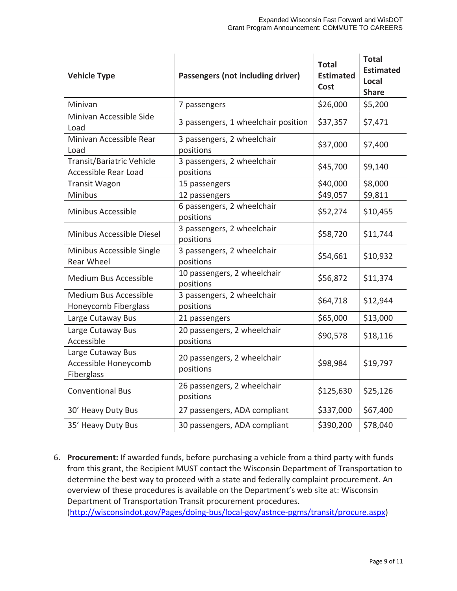| <b>Vehicle Type</b>                                     | Passengers (not including driver)        | <b>Total</b><br><b>Estimated</b><br>Cost | <b>Total</b><br><b>Estimated</b><br>Local<br><b>Share</b> |
|---------------------------------------------------------|------------------------------------------|------------------------------------------|-----------------------------------------------------------|
| Minivan                                                 | 7 passengers                             | \$26,000                                 | \$5,200                                                   |
| Minivan Accessible Side<br>Load                         | 3 passengers, 1 wheelchair position      | \$37,357                                 | \$7,471                                                   |
| Minivan Accessible Rear<br>Load                         | 3 passengers, 2 wheelchair<br>positions  | \$37,000                                 | \$7,400                                                   |
| Transit/Bariatric Vehicle<br>Accessible Rear Load       | 3 passengers, 2 wheelchair<br>positions  | \$45,700                                 | \$9,140                                                   |
| <b>Transit Wagon</b>                                    | 15 passengers                            | \$40,000                                 | \$8,000                                                   |
| Minibus                                                 | 12 passengers                            | \$49,057                                 | \$9,811                                                   |
| Minibus Accessible                                      | 6 passengers, 2 wheelchair<br>positions  | \$52,274                                 | \$10,455                                                  |
| Minibus Accessible Diesel                               | 3 passengers, 2 wheelchair<br>positions  | \$58,720                                 | \$11,744                                                  |
| Minibus Accessible Single<br><b>Rear Wheel</b>          | 3 passengers, 2 wheelchair<br>positions  | \$54,661                                 | \$10,932                                                  |
| <b>Medium Bus Accessible</b>                            | 10 passengers, 2 wheelchair<br>positions | \$56,872                                 | \$11,374                                                  |
| <b>Medium Bus Accessible</b><br>Honeycomb Fiberglass    | 3 passengers, 2 wheelchair<br>positions  | \$64,718                                 | \$12,944                                                  |
| Large Cutaway Bus                                       | 21 passengers                            | \$65,000                                 | \$13,000                                                  |
| Large Cutaway Bus<br>Accessible                         | 20 passengers, 2 wheelchair<br>positions | \$90,578                                 | \$18,116                                                  |
| Large Cutaway Bus<br>Accessible Honeycomb<br>Fiberglass | 20 passengers, 2 wheelchair<br>positions | \$98,984                                 | \$19,797                                                  |
| <b>Conventional Bus</b>                                 | 26 passengers, 2 wheelchair<br>positions | \$125,630                                | \$25,126                                                  |
| 30' Heavy Duty Bus                                      | 27 passengers, ADA compliant             | \$337,000                                | \$67,400                                                  |
| 35' Heavy Duty Bus                                      | 30 passengers, ADA compliant             | \$390,200                                | \$78,040                                                  |

6. **Procurement:** If awarded funds, before purchasing a vehicle from a third party with funds from this grant, the Recipient MUST contact the Wisconsin Department of Transportation to determine the best way to proceed with a state and federally complaint procurement. An overview of these procedures is available on the Department's web site at: Wisconsin Department of Transportation Transit procurement procedures.

[\(http://wisconsindot.gov/Pages/doing-bus/local-gov/astnce-pgms/transit/procure.aspx\)](http://wisconsindot.gov/Pages/doing-bus/local-gov/astnce-pgms/transit/procure.aspx)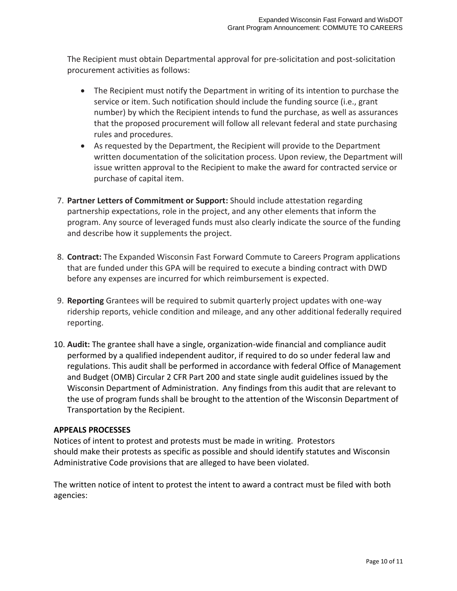The Recipient must obtain Departmental approval for pre-solicitation and post-solicitation procurement activities as follows:

- The Recipient must notify the Department in writing of its intention to purchase the service or item. Such notification should include the funding source (i.e., grant number) by which the Recipient intends to fund the purchase, as well as assurances that the proposed procurement will follow all relevant federal and state purchasing rules and procedures.
- As requested by the Department, the Recipient will provide to the Department written documentation of the solicitation process. Upon review, the Department will issue written approval to the Recipient to make the award for contracted service or purchase of capital item.
- 7. **Partner Letters of Commitment or Support:** Should include attestation regarding partnership expectations, role in the project, and any other elements that inform the program. Any source of leveraged funds must also clearly indicate the source of the funding and describe how it supplements the project.
- 8. **Contract:** The Expanded Wisconsin Fast Forward Commute to Careers Program applications that are funded under this GPA will be required to execute a binding contract with DWD before any expenses are incurred for which reimbursement is expected.
- 9. **Reporting** Grantees will be required to submit quarterly project updates with one-way ridership reports, vehicle condition and mileage, and any other additional federally required reporting.
- 10. **Audit:** The grantee shall have a single, organization-wide financial and compliance audit performed by a qualified independent auditor, if required to do so under federal law and regulations. This audit shall be performed in accordance with federal Office of Management and Budget (OMB) Circular 2 CFR Part 200 and state single audit guidelines issued by the Wisconsin Department of Administration. Any findings from this audit that are relevant to the use of program funds shall be brought to the attention of the Wisconsin Department of Transportation by the Recipient.

# **APPEALS PROCESSES**

Notices of intent to protest and protests must be made in writing. Protestors should make their protests as specific as possible and should identify statutes and Wisconsin Administrative Code provisions that are alleged to have been violated.

The written notice of intent to protest the intent to award a contract must be filed with both agencies: